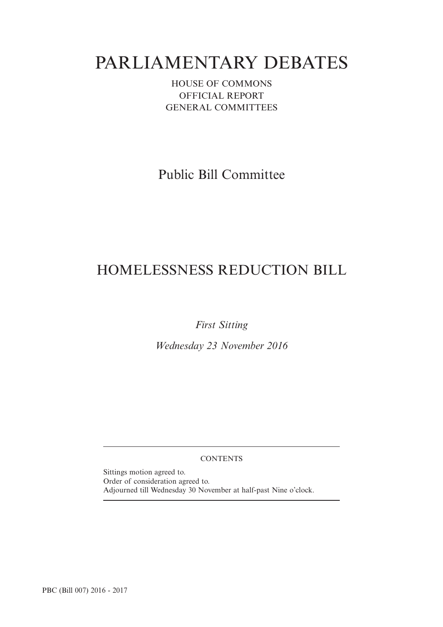# PARLIAMENTARY DEBATES

HOUSE OF COMMONS OFFICIAL REPORT GENERAL COMMITTEES

Public Bill Committee

## HOMELESSNESS REDUCTION BILL

*First Sitting*

*Wednesday 23 November 2016*

### **CONTENTS**

Sittings motion agreed to. Order of consideration agreed to. Adjourned till Wednesday 30 November at half-past Nine o'clock.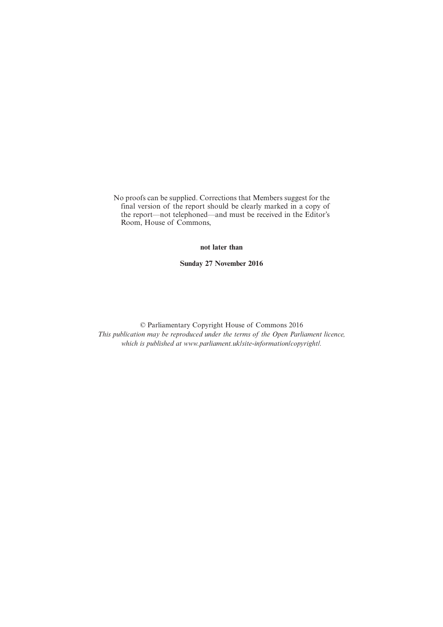No proofs can be supplied. Corrections that Members suggest for the final version of the report should be clearly marked in a copy of the report—not telephoned—and must be received in the Editor's Room, House of Commons,

### **not later than**

**Sunday 27 November 2016**

© Parliamentary Copyright House of Commons 2016 *This publication may be reproduced under the terms of the Open Parliament licence, which is published at www.parliament.uk/site-information/copyright/.*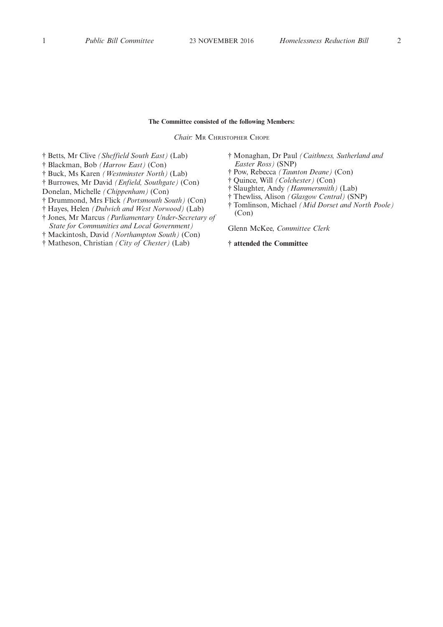### **The Committee consisted of the following Members:**

*Chair:* M<sup>R</sup> CHRISTOPHER CHOPE

- † Betts, Mr Clive *(Sheffield South East)* (Lab)
- † Blackman, Bob *(Harrow East)* (Con)
- † Buck, Ms Karen *(Westminster North)* (Lab)
- † Burrowes, Mr David *(Enfield, Southgate)* (Con)
- Donelan, Michelle *(Chippenham)* (Con)
- † Drummond, Mrs Flick *(Portsmouth South)* (Con)
- † Hayes, Helen *(Dulwich and West Norwood)* (Lab)
- † Jones, Mr Marcus *(Parliamentary Under-Secretary of State for Communities and Local Government)*
- † Mackintosh, David *(Northampton South)* (Con)
- † Matheson, Christian *(City of Chester)* (Lab)
- † Monaghan, Dr Paul *(Caithness, Sutherland and Easter Ross)* (SNP)
- † Pow, Rebecca *(Taunton Deane)* (Con)
- † Quince, Will *(Colchester)* (Con)
- † Slaughter, Andy *(Hammersmith)* (Lab)
- † Thewliss, Alison *(Glasgow Central)* (SNP)
- † Tomlinson, Michael *(Mid Dorset and North Poole)* (Con)

Glenn McKee, *Committee Clerk*

**† attended the Committee**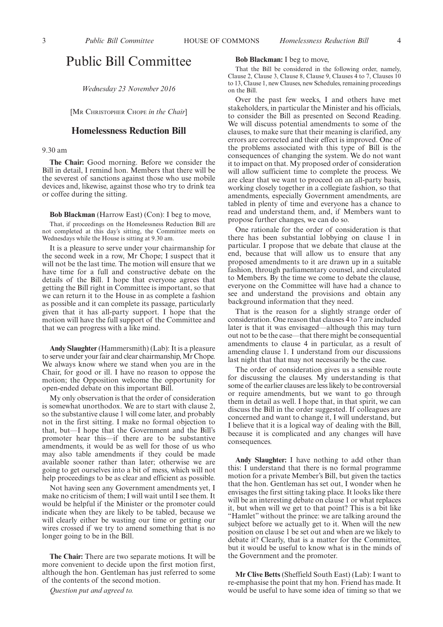### Public Bill Committee

*Wednesday 23 November 2016*

[M<sup>R</sup> CHRISTOPHER CHOPE *in the Chair*]

### **Homelessness Reduction Bill**

9.30 am

**The Chair:** Good morning. Before we consider the Bill in detail, I remind hon. Members that there will be the severest of sanctions against those who use mobile devices and, likewise, against those who try to drink tea or coffee during the sitting.

#### **Bob Blackman** (Harrow East) (Con): I beg to move,

That, if proceedings on the Homelessness Reduction Bill are not completed at this day's sitting, the Committee meets on Wednesdays while the House is sitting at 9.30 am.

It is a pleasure to serve under your chairmanship for the second week in a row, Mr Chope; I suspect that it will not be the last time. The motion will ensure that we have time for a full and constructive debate on the details of the Bill. I hope that everyone agrees that getting the Bill right in Committee is important, so that we can return it to the House in as complete a fashion as possible and it can complete its passage, particularly given that it has all-party support. I hope that the motion will have the full support of the Committee and that we can progress with a like mind.

**Andy Slaughter** (Hammersmith) (Lab): It is a pleasure to serve under your fair and clear chairmanship, Mr Chope. We always know where we stand when you are in the Chair, for good or ill. I have no reason to oppose the motion; the Opposition welcome the opportunity for open-ended debate on this important Bill.

My only observation is that the order of consideration is somewhat unorthodox. We are to start with clause 2, so the substantive clause 1 will come later, and probably not in the first sitting. I make no formal objection to that, but—I hope that the Government and the Bill's promoter hear this—if there are to be substantive amendments, it would be as well for those of us who may also table amendments if they could be made available sooner rather than later; otherwise we are going to get ourselves into a bit of mess, which will not help proceedings to be as clear and efficient as possible.

Not having seen any Government amendments yet, I make no criticism of them; I will wait until I see them. It would be helpful if the Minister or the promoter could indicate when they are likely to be tabled, because we will clearly either be wasting our time or getting our wires crossed if we try to amend something that is no longer going to be in the Bill.

**The Chair:** There are two separate motions. It will be more convenient to decide upon the first motion first, although the hon. Gentleman has just referred to some of the contents of the second motion.

*Question put and agreed to.*

### **Bob Blackman:** I beg to move,

That the Bill be considered in the following order, namely, Clause 2, Clause 3, Clause 8, Clause 9, Clauses 4 to 7, Clauses 10 to 13, Clause 1, new Clauses, new Schedules, remaining proceedings on the Bill.

Over the past few weeks, I and others have met stakeholders, in particular the Minister and his officials, to consider the Bill as presented on Second Reading. We will discuss potential amendments to some of the clauses, to make sure that their meaning is clarified, any errors are corrected and their effect is improved. One of the problems associated with this type of Bill is the consequences of changing the system. We do not want it to impact on that. My proposed order of consideration will allow sufficient time to complete the process. We are clear that we want to proceed on an all-party basis, working closely together in a collegiate fashion, so that amendments, especially Government amendments, are tabled in plenty of time and everyone has a chance to read and understand them, and, if Members want to propose further changes, we can do so.

One rationale for the order of consideration is that there has been substantial lobbying on clause 1 in particular. I propose that we debate that clause at the end, because that will allow us to ensure that any proposed amendments to it are drawn up in a suitable fashion, through parliamentary counsel, and circulated to Members. By the time we come to debate the clause, everyone on the Committee will have had a chance to see and understand the provisions and obtain any background information that they need.

That is the reason for a slightly strange order of consideration. One reason that clauses 4 to 7 are included later is that it was envisaged—although this may turn out not to be the case—that there might be consequential amendments to clause 4 in particular, as a result of amending clause 1. I understand from our discussions last night that that may not necessarily be the case.

The order of consideration gives us a sensible route for discussing the clauses. My understanding is that some of the earlier clauses are less likely to be controversial or require amendments, but we want to go through them in detail as well. I hope that, in that spirit, we can discuss the Bill in the order suggested. If colleagues are concerned and want to change it, I will understand, but I believe that it is a logical way of dealing with the Bill, because it is complicated and any changes will have consequences.

**Andy Slaughter:** I have nothing to add other than this: I understand that there is no formal programme motion for a private Member's Bill, but given the tactics that the hon. Gentleman has set out, I wonder when he envisages the first sitting taking place. It looks like there will be an interesting debate on clause 1 or what replaces it, but when will we get to that point? This is a bit like "Hamlet" without the prince: we are talking around the subject before we actually get to it. When will the new position on clause 1 be set out and when are we likely to debate it? Clearly, that is a matter for the Committee, but it would be useful to know what is in the minds of the Government and the promoter.

**Mr Clive Betts** (Sheffield South East) (Lab): I want to re-emphasise the point that my hon. Friend has made. It would be useful to have some idea of timing so that we